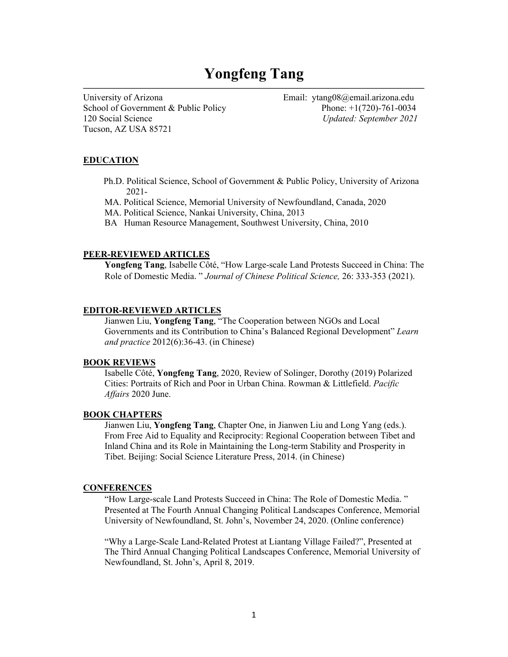# **Yongfeng Tang**

University of Arizona **Email:** ytang08@email.arizona.edu School of Government & Public Policy Phone: +1(720)-761-0034 120 Social Science *Updated: September 2021* Tucson, AZ USA 85721

# **EDUCATION**

 Ph.D. Political Science, School of Government & Public Policy, University of Arizona 2021-

MA. Political Science, Memorial University of Newfoundland, Canada, 2020

MA. Political Science, Nankai University, China, 2013

BA Human Resource Management, Southwest University, China, 2010

## **PEER-REVIEWED ARTICLES**

**Yongfeng Tang**, Isabelle Côté, "How Large-scale Land Protests Succeed in China: The Role of Domestic Media." *Journal of Chinese Political Science,* 26: 333-353 (2021).

## **EDITOR-REVIEWED ARTICLES**

Jianwen Liu, **Yongfeng Tang**, "The Cooperation between NGOs and Local Governments and its Contribution to China's Balanced Regional Development" *Learn and practice* 2012(6):36-43. (in Chinese)

## **BOOK REVIEWS**

Isabelle Côté, **Yongfeng Tang**, 2020, Review of Solinger, Dorothy (2019) Polarized Cities: Portraits of Rich and Poor in Urban China. Rowman & Littlefield. *Pacific Affairs* 2020 June.

# **BOOK CHAPTERS**

Jianwen Liu, **Yongfeng Tang**, Chapter One, in Jianwen Liu and Long Yang (eds.). From Free Aid to Equality and Reciprocity: Regional Cooperation between Tibet and Inland China and its Role in Maintaining the Long-term Stability and Prosperity in Tibet. Beijing: Social Science Literature Press, 2014. (in Chinese)

#### **CONFERENCES**

"How Large-scale Land Protests Succeed in China: The Role of Domestic Media." Presented at The Fourth Annual Changing Political Landscapes Conference, Memorial University of Newfoundland, St. John's, November 24, 2020. (Online conference)

"Why a Large-Scale Land-Related Protest at Liantang Village Failed?", Presented at The Third Annual Changing Political Landscapes Conference, Memorial University of Newfoundland, St. John's, April 8, 2019.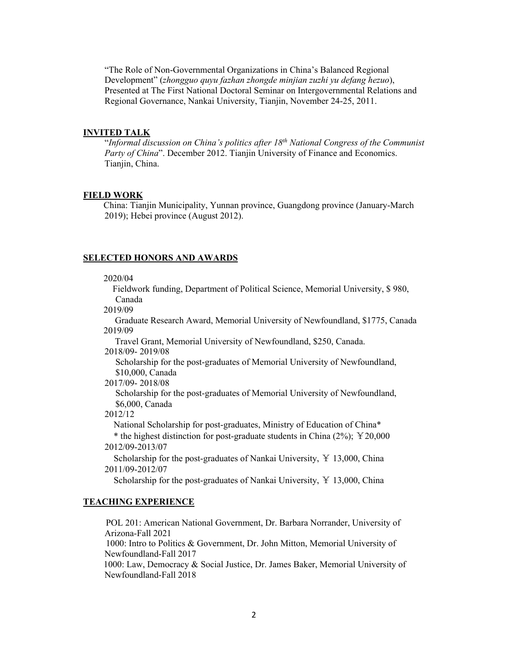"The Role of Non-Governmental Organizations in China's Balanced Regional Development" (*zhongguo quyu fazhan zhongde minjian zuzhi yu defang hezuo*), Presented at The First National Doctoral Seminar on Intergovernmental Relations and Regional Governance, Nankai University, Tianjin, November 24-25, 2011.

# **INVITED TALK**

"*Informal discussion on China's politics after 18th National Congress of the Communist Party of China*". December 2012. Tianjin University of Finance and Economics. Tianjin, China.

## **FIELD WORK**

 China: Tianjin Municipality, Yunnan province, Guangdong province (January-March 2019); Hebei province (August 2012).

# **SELECTED HONORS AND AWARDS**

## 2020/04

 Fieldwork funding, Department of Political Science, Memorial University, \$ 980, Canada

2019/09

 Graduate Research Award, Memorial University of Newfoundland, \$1775, Canada 2019/09

 Travel Grant, Memorial University of Newfoundland, \$250, Canada. 2018/09- 2019/08

Scholarship for the post-graduates of Memorial University of Newfoundland, \$10,000, Canada

#### 2017/09- 2018/08

Scholarship for the post-graduates of Memorial University of Newfoundland, \$6,000, Canada

## 2012/12

 National Scholarship for post-graduates, Ministry of Education of China\* \* the highest distinction for post-graduate students in China (2%); ¥20,000 2012/09-2013/07

Scholarship for the post-graduates of Nankai University,  $\overline{Y}$  13,000, China 2011/09-2012/07

Scholarship for the post-graduates of Nankai University,  $\overline{Y}$  13,000, China

# **TEACHING EXPERIENCE**

 POL 201: American National Government, Dr. Barbara Norrander, University of Arizona-Fall 2021 1000: Intro to Politics & Government, Dr. John Mitton, Memorial University of Newfoundland-Fall 2017 1000: Law, Democracy & Social Justice, Dr. James Baker, Memorial University of Newfoundland-Fall 2018